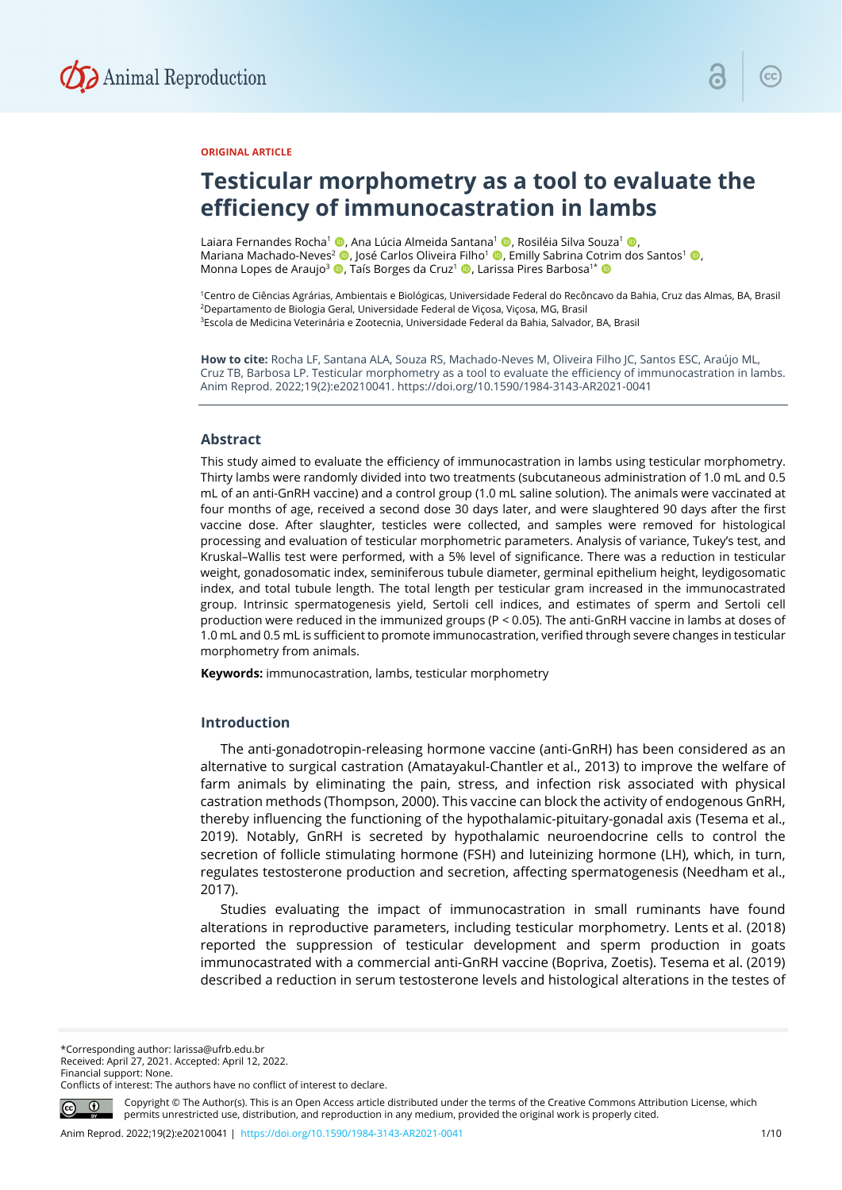

## **ORIGINAL ARTICLE**

# **Testicular morphometry as a tool to evaluate the efficiency of immunocastration in lambs**

Laiara Fernandes Rocha<sup>1</sup> ©, Ana Lúcia Almeida Santana<sup>1</sup> ©, Rosiléia Silva Souza<sup>1</sup> ©, Mariana Machado-Neves<sup>2</sup> (D, José Carlos Oliveira Filho<sup>1</sup> ©, Emilly Sabrina Cotrim dos Santos<sup>1</sup> ©, Monna Lopes de Araujo<sup>3</sup> (D, Taís Borges da Cruz<sup>1</sup> (D, Larissa Pires Barbosa<sup>1\*</sup> (D

1Centro de Ciências Agrárias, Ambientais e Biológicas, Universidade Federal do Recôncavo da Bahia, Cruz das Almas, BA, Brasil 2Departamento de Biologia Geral, Universidade Federal de Viçosa, Viçosa, MG, Brasil 3Escola de Medicina Veterinária e Zootecnia, Universidade Federal da Bahia, Salvador, BA, Brasil

**How to cite:** Rocha LF, Santana ALA, Souza RS, Machado-Neves M, Oliveira Filho JC, Santos ESC, Araújo ML, Cruz TB, Barbosa LP. Testicular morphometry as a tool to evaluate the efficiency of immunocastration in lambs. Anim Reprod. 2022;19(2):e20210041. https://doi.org/10.1590/1984-3143-AR2021-0041

#### **Abstract**

This study aimed to evaluate the efficiency of immunocastration in lambs using testicular morphometry. Thirty lambs were randomly divided into two treatments (subcutaneous administration of 1.0 mL and 0.5 mL of an anti-GnRH vaccine) and a control group (1.0 mL saline solution). The animals were vaccinated at four months of age, received a second dose 30 days later, and were slaughtered 90 days after the first vaccine dose. After slaughter, testicles were collected, and samples were removed for histological processing and evaluation of testicular morphometric parameters. Analysis of variance, Tukey's test, and Kruskal–Wallis test were performed, with a 5% level of significance. There was a reduction in testicular weight, gonadosomatic index, seminiferous tubule diameter, germinal epithelium height, leydigosomatic index, and total tubule length. The total length per testicular gram increased in the immunocastrated group. Intrinsic spermatogenesis yield, Sertoli cell indices, and estimates of sperm and Sertoli cell production were reduced in the immunized groups (P < 0.05). The anti-GnRH vaccine in lambs at doses of 1.0 mL and 0.5 mL is sufficient to promote immunocastration, verified through severe changes in testicular morphometry from animals.

**Keywords:** immunocastration, lambs, testicular morphometry

## **Introduction**

The anti-gonadotropin-releasing hormone vaccine (anti-GnRH) has been considered as an alternative to surgical castration (Amatayakul-Chantler et al., 2013) to improve the welfare of farm animals by eliminating the pain, stress, and infection risk associated with physical castration methods (Thompson, 2000). This vaccine can block the activity of endogenous GnRH, thereby influencing the functioning of the hypothalamic-pituitary-gonadal axis (Tesema et al., 2019). Notably, GnRH is secreted by hypothalamic neuroendocrine cells to control the secretion of follicle stimulating hormone (FSH) and luteinizing hormone (LH), which, in turn, regulates testosterone production and secretion, affecting spermatogenesis (Needham et al., 2017).

Studies evaluating the impact of immunocastration in small ruminants have found alterations in reproductive parameters, including testicular morphometry. Lents et al. (2018) reported the suppression of testicular development and sperm production in goats immunocastrated with a commercial anti-GnRH vaccine (Bopriva, Zoetis). Tesema et al. (2019) described a reduction in serum testosterone levels and histological alterations in the testes of

\*Corresponding author: larissa@ufrb.edu.br Received: April 27, 2021. Accepted: April 12, 2022. Financial support: None. Conflicts of interest: The authors have no conflict of interest to declare.



Copyright © The Author(s). This is an Open Access article distributed under the terms of the Creative Commons Attribution License, which permits unrestricted use, distribution, and reproduction in any medium, provided the original work is properly cited.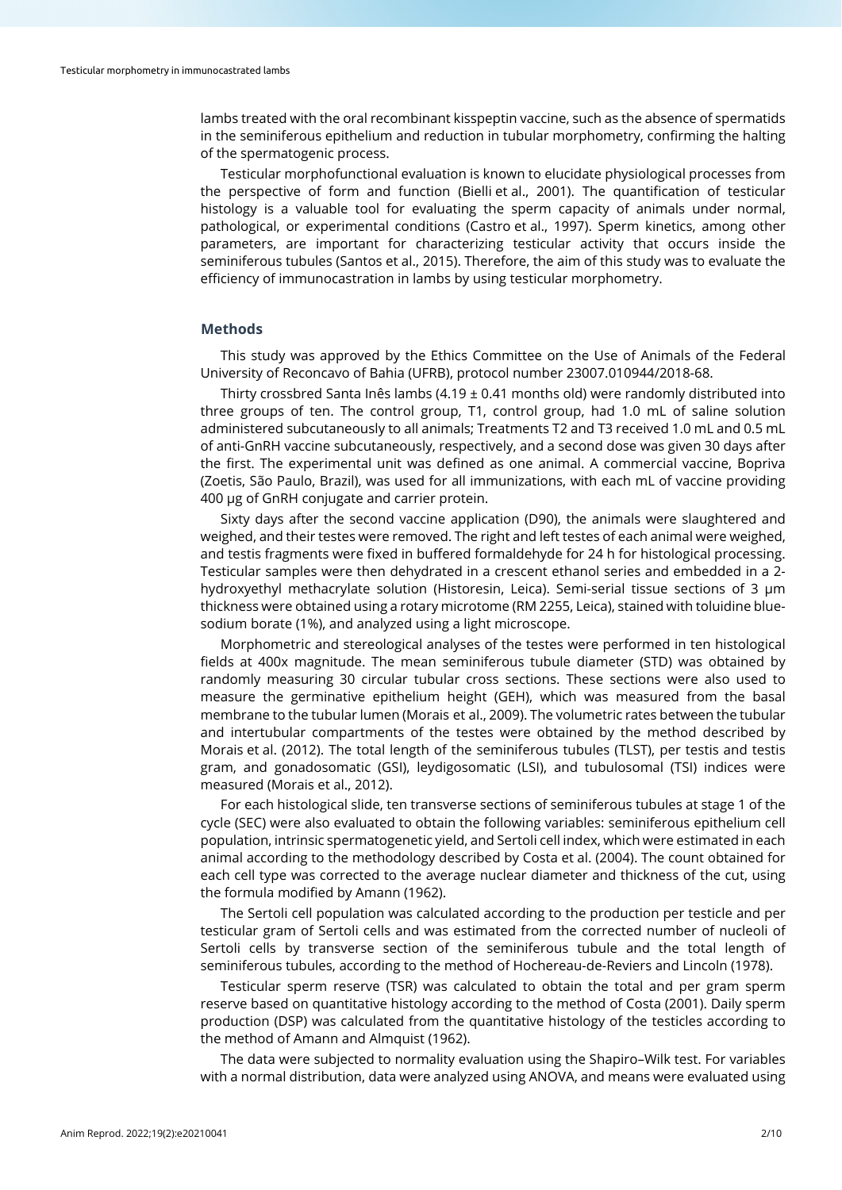lambs treated with the oral recombinant kisspeptin vaccine, such as the absence of spermatids in the seminiferous epithelium and reduction in tubular morphometry, confirming the halting of the spermatogenic process.

Testicular morphofunctional evaluation is known to elucidate physiological processes from the perspective of form and function (Bielli et al., 2001). The quantification of testicular histology is a valuable tool for evaluating the sperm capacity of animals under normal, pathological, or experimental conditions (Castro et al., 1997). Sperm kinetics, among other parameters, are important for characterizing testicular activity that occurs inside the seminiferous tubules (Santos et al., 2015). Therefore, the aim of this study was to evaluate the efficiency of immunocastration in lambs by using testicular morphometry.

### **Methods**

This study was approved by the Ethics Committee on the Use of Animals of the Federal University of Reconcavo of Bahia (UFRB), protocol number 23007.010944/2018-68.

Thirty crossbred Santa Inês lambs (4.19  $\pm$  0.41 months old) were randomly distributed into three groups of ten. The control group, T1, control group, had 1.0 mL of saline solution administered subcutaneously to all animals; Treatments T2 and T3 received 1.0 mL and 0.5 mL of anti-GnRH vaccine subcutaneously, respectively, and a second dose was given 30 days after the first. The experimental unit was defined as one animal. A commercial vaccine, Bopriva (Zoetis, São Paulo, Brazil), was used for all immunizations, with each mL of vaccine providing 400 µg of GnRH conjugate and carrier protein.

Sixty days after the second vaccine application (D90), the animals were slaughtered and weighed, and their testes were removed. The right and left testes of each animal were weighed, and testis fragments were fixed in buffered formaldehyde for 24 h for histological processing. Testicular samples were then dehydrated in a crescent ethanol series and embedded in a 2 hydroxyethyl methacrylate solution (Historesin, Leica). Semi-serial tissue sections of 3 μm thickness were obtained using a rotary microtome (RM 2255, Leica), stained with toluidine bluesodium borate (1%), and analyzed using a light microscope.

Morphometric and stereological analyses of the testes were performed in ten histological fields at 400x magnitude. The mean seminiferous tubule diameter (STD) was obtained by randomly measuring 30 circular tubular cross sections. These sections were also used to measure the germinative epithelium height (GEH), which was measured from the basal membrane to the tubular lumen (Morais et al., 2009). The volumetric rates between the tubular and intertubular compartments of the testes were obtained by the method described by Morais et al. (2012). The total length of the seminiferous tubules (TLST), per testis and testis gram, and gonadosomatic (GSI), leydigosomatic (LSI), and tubulosomal (TSI) indices were measured (Morais et al., 2012).

For each histological slide, ten transverse sections of seminiferous tubules at stage 1 of the cycle (SEC) were also evaluated to obtain the following variables: seminiferous epithelium cell population, intrinsic spermatogenetic yield, and Sertoli cell index, which were estimated in each animal according to the methodology described by Costa et al. (2004). The count obtained for each cell type was corrected to the average nuclear diameter and thickness of the cut, using the formula modified by Amann (1962).

The Sertoli cell population was calculated according to the production per testicle and per testicular gram of Sertoli cells and was estimated from the corrected number of nucleoli of Sertoli cells by transverse section of the seminiferous tubule and the total length of seminiferous tubules, according to the method of Hochereau-de-Reviers and Lincoln (1978).

Testicular sperm reserve (TSR) was calculated to obtain the total and per gram sperm reserve based on quantitative histology according to the method of Costa (2001). Daily sperm production (DSP) was calculated from the quantitative histology of the testicles according to the method of Amann and Almquist (1962).

The data were subjected to normality evaluation using the Shapiro–Wilk test. For variables with a normal distribution, data were analyzed using ANOVA, and means were evaluated using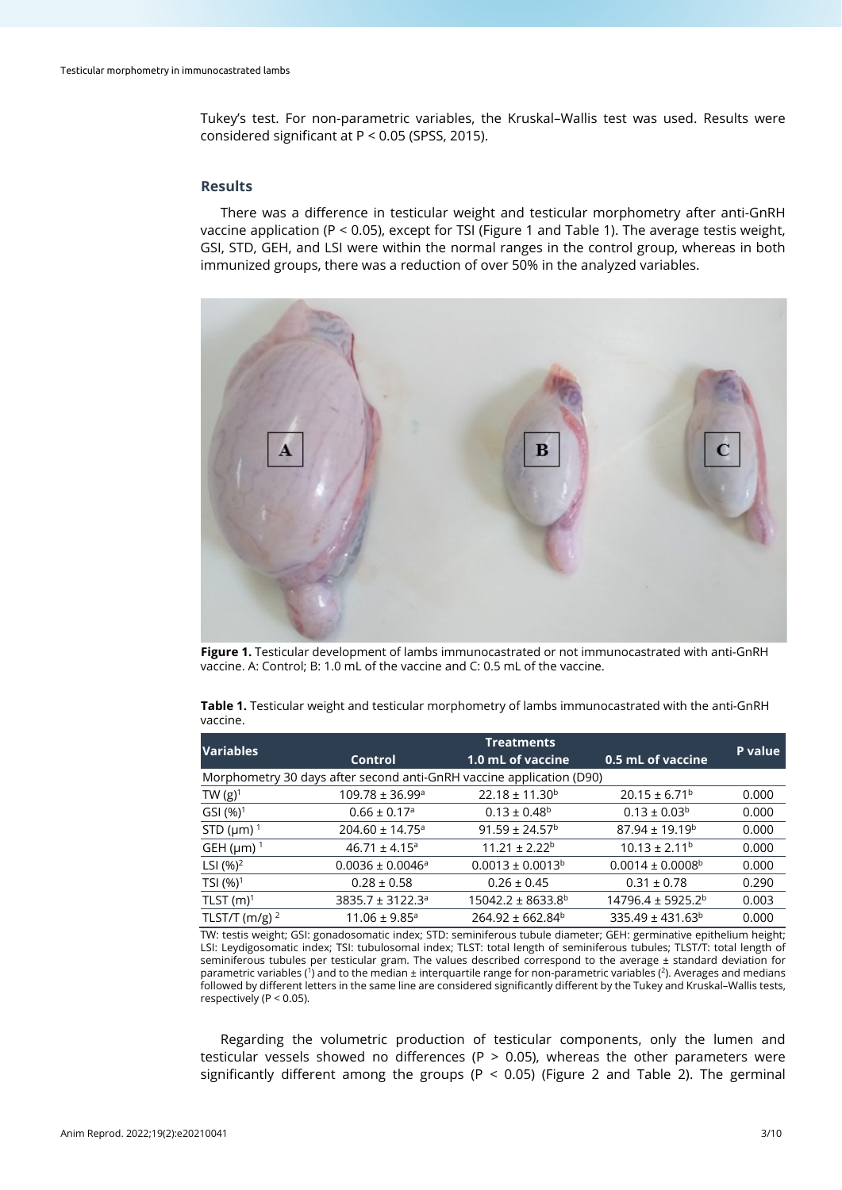Tukey's test. For non-parametric variables, the Kruskal–Wallis test was used. Results were considered significant at P < 0.05 (SPSS, 2015).

## **Results**

There was a difference in testicular weight and testicular morphometry after anti-GnRH vaccine application (P < 0.05), except for TSI (Figure 1 and Table 1). The average testis weight, GSI, STD, GEH, and LSI were within the normal ranges in the control group, whereas in both immunized groups, there was a reduction of over 50% in the analyzed variables.



**Figure 1.** Testicular development of lambs immunocastrated or not immunocastrated with anti-GnRH vaccine. A: Control; B: 1.0 mL of the vaccine and C: 0.5 mL of the vaccine.

|          |  | Table 1. Testicular weight and testicular morphometry of lambs immunocastrated with the anti-GnRH |  |  |  |
|----------|--|---------------------------------------------------------------------------------------------------|--|--|--|
| vaccine. |  |                                                                                                   |  |  |  |

| <b>Variables</b>            | <b>Treatments</b>                                                    |                           |                               |         |  |
|-----------------------------|----------------------------------------------------------------------|---------------------------|-------------------------------|---------|--|
|                             | Control                                                              | 1.0 mL of vaccine         | 0.5 mL of vaccine             | P value |  |
|                             | Morphometry 30 days after second anti-GnRH vaccine application (D90) |                           |                               |         |  |
| TW $(g)^1$                  | $109.78 \pm 36.99^{\circ}$                                           | $22.18 \pm 11.30^b$       | $20.15 \pm 6.71^b$            | 0.000   |  |
| GSI $(%)1$                  | $0.66 \pm 0.17$ <sup>a</sup>                                         | $0.13 \pm 0.48^b$         | $0.13 \pm 0.03^b$             | 0.000   |  |
| STD ( $\mu$ m) <sup>1</sup> | $204.60 \pm 14.75$ <sup>a</sup>                                      | $91.59 \pm 24.57^{\circ}$ | $87.94 \pm 19.19^b$           | 0.000   |  |
| GEH ( $\mu$ m) <sup>1</sup> | $46.71 \pm 4.15^a$                                                   | $11.21 \pm 2.22^b$        | $10.13 \pm 2.11^b$            | 0.000   |  |
| LSI $(%)^2$                 | $0.0036 \pm 0.0046^a$                                                | $0.0013 \pm 0.0013^b$     | $0.0014 \pm 0.0008^{\rm b}$   | 0.000   |  |
| TSI $(%)1$                  | $0.28 \pm 0.58$                                                      | $0.26 \pm 0.45$           | $0.31 \pm 0.78$               | 0.290   |  |
| TLST $(m)^1$                | $3835.7 \pm 3122.3^a$                                                | $15042.2 \pm 8633.8^b$    | 14796.4 ± 5925.2 <sup>b</sup> | 0.003   |  |
| TLST/T (m/g) $^2$           | $11.06 \pm 9.85$ <sup>a</sup>                                        | $264.92 \pm 662.84^b$     | $335.49 \pm 431.63^b$         | 0.000   |  |

TW: testis weight; GSI: gonadosomatic index; STD: seminiferous tubule diameter; GEH: germinative epithelium height; LSI: Leydigosomatic index; TSI: tubulosomal index; TLST: total length of seminiferous tubules; TLST/T: total length of seminiferous tubules per testicular gram. The values described correspond to the average ± standard deviation for parametric variables (<sup>1</sup>) and to the median ± interquartile range for non-parametric variables (<sup>2</sup>). Averages and medians followed by different letters in the same line are considered significantly different by the Tukey and Kruskal–Wallis tests, respectively (P < 0.05).

Regarding the volumetric production of testicular components, only the lumen and testicular vessels showed no differences (P  $>$  0.05), whereas the other parameters were significantly different among the groups ( $P < 0.05$ ) (Figure 2 and Table 2). The germinal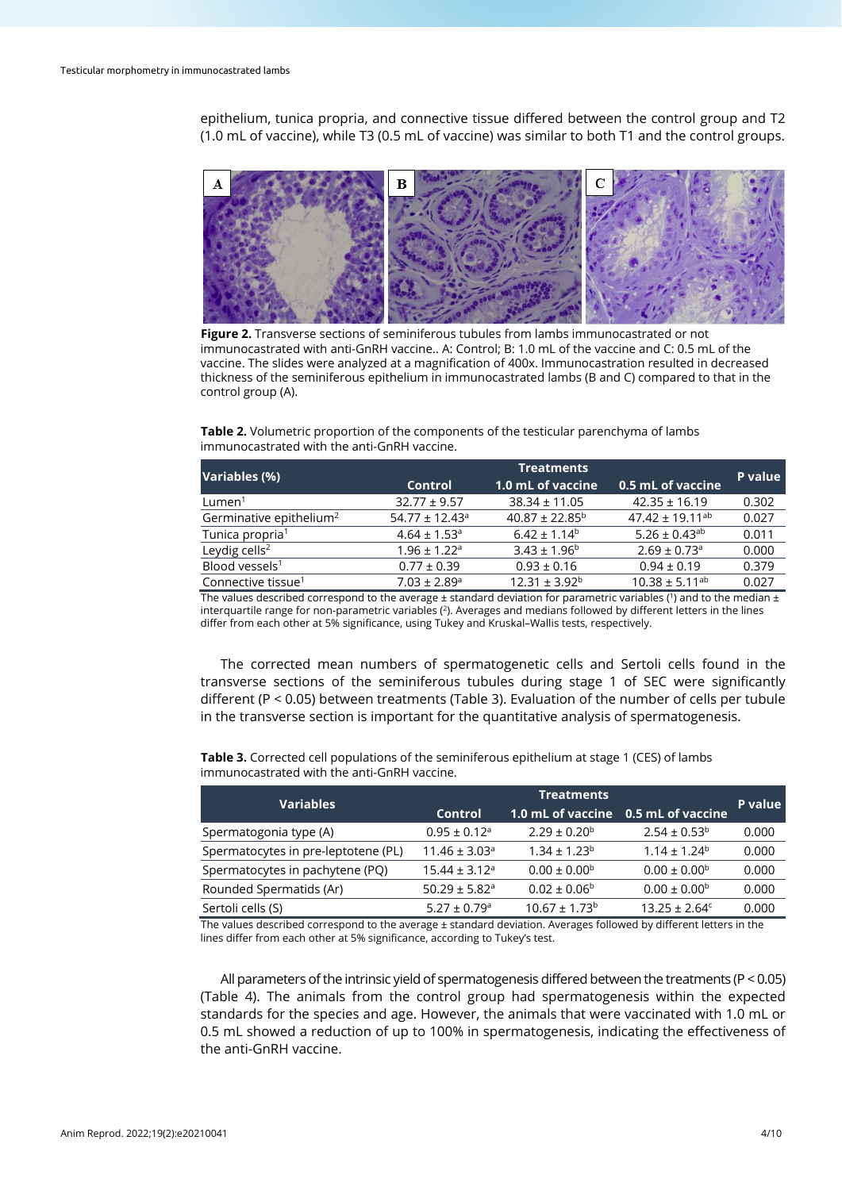epithelium, tunica propria, and connective tissue differed between the control group and T2 (1.0 mL of vaccine), while T3 (0.5 mL of vaccine) was similar to both T1 and the control groups.



**Figure 2.** Transverse sections of seminiferous tubules from lambs immunocastrated or not immunocastrated with anti-GnRH vaccine.. A: Control; B: 1.0 mL of the vaccine and C: 0.5 mL of the vaccine. The slides were analyzed at a magnification of 400x. Immunocastration resulted in decreased thickness of the seminiferous epithelium in immunocastrated lambs (B and C) compared to that in the control group (A).

**Table 2.** Volumetric proportion of the components of the testicular parenchyma of lambs immunocastrated with the anti-GnRH vaccine.

| Variables (%)                       | <b>Treatments</b>              |                           |                              |         |  |
|-------------------------------------|--------------------------------|---------------------------|------------------------------|---------|--|
|                                     | 1.0 mL of vaccine<br>Control   |                           | 0.5 mL of vaccine            | P value |  |
| Lumen <sup>1</sup>                  | $32.77 \pm 9.57$               | $38.34 \pm 11.05$         | $42.35 \pm 16.19$            | 0.302   |  |
| Germinative epithelium <sup>2</sup> | $54.77 \pm 12.43$ <sup>a</sup> | $40.87 \pm 22.85^{\circ}$ | $47.42 \pm 19.11^{ab}$       | 0.027   |  |
| Tunica propria <sup>1</sup>         | $4.64 \pm 1.53$ <sup>a</sup>   | $6.42 \pm 1.14^b$         | 5.26 ± 0.43 <sup>ab</sup>    | 0.011   |  |
| Leydig cells <sup>2</sup>           | $1.96 \pm 1.22$ <sup>a</sup>   | $3.43 \pm 1.96^b$         | $2.69 \pm 0.73$ <sup>a</sup> | 0.000   |  |
| Blood vessels <sup>1</sup>          | $0.77 \pm 0.39$                | $0.93 \pm 0.16$           | $0.94 \pm 0.19$              | 0.379   |  |
| Connective tissue <sup>1</sup>      | $7.03 \pm 2.89$ <sup>a</sup>   | $12.31 \pm 3.92^b$        | $10.38 \pm 5.11^{ab}$        | 0.027   |  |

The values described correspond to the average  $\pm$  standard deviation for parametric variables (<sup>1</sup>) and to the median  $\pm$ interquartile range for non-parametric variables  $(2)$ . Averages and medians followed by different letters in the lines differ from each other at 5% significance, using Tukey and Kruskal–Wallis tests, respectively.

The corrected mean numbers of spermatogenetic cells and Sertoli cells found in the transverse sections of the seminiferous tubules during stage 1 of SEC were significantly different (P < 0.05) between treatments (Table 3). Evaluation of the number of cells per tubule in the transverse section is important for the quantitative analysis of spermatogenesis.

| <b>Variables</b>                    | <b>Treatments</b>             |                               |                         |         |  |
|-------------------------------------|-------------------------------|-------------------------------|-------------------------|---------|--|
|                                     | Control                       | 1.0 mL of vaccine             | 0.5 mL of vaccine       | P value |  |
| Spermatogonia type (A)              | $0.95 \pm 0.12$ <sup>a</sup>  | $2.29 \pm 0.20^b$             | $2.54 \pm 0.53^b$       | 0.000   |  |
| Spermatocytes in pre-leptotene (PL) | $11.46 \pm 3.03$ <sup>a</sup> | $1.34 \pm 1.23^b$             | $1.14 \pm 1.24^b$       | 0.000   |  |
| Spermatocytes in pachytene (PQ)     | $15.44 \pm 3.12$ <sup>a</sup> | $0.00 \pm 0.00^{\rm b}$       | $0.00 \pm 0.00^{\rm b}$ | 0.000   |  |
| Rounded Spermatids (Ar)             | $50.29 \pm 5.82$ <sup>a</sup> | $0.02 \pm 0.06^{\circ}$       | $0.00 \pm 0.00^{\circ}$ | 0.000   |  |
| Sertoli cells (S)                   | $5.27 \pm 0.79$ <sup>a</sup>  | $10.67 \pm 1.73$ <sup>b</sup> | $13.25 \pm 2.64^c$      | 0.000   |  |

**Table 3.** Corrected cell populations of the seminiferous epithelium at stage 1 (CES) of lambs immunocastrated with the anti-GnRH vaccine.

The values described correspond to the average ± standard deviation. Averages followed by different letters in the lines differ from each other at 5% significance, according to Tukey's test.

All parameters of the intrinsic yield of spermatogenesis differed between the treatments (P < 0.05) (Table 4). The animals from the control group had spermatogenesis within the expected standards for the species and age. However, the animals that were vaccinated with 1.0 mL or 0.5 mL showed a reduction of up to 100% in spermatogenesis, indicating the effectiveness of the anti-GnRH vaccine.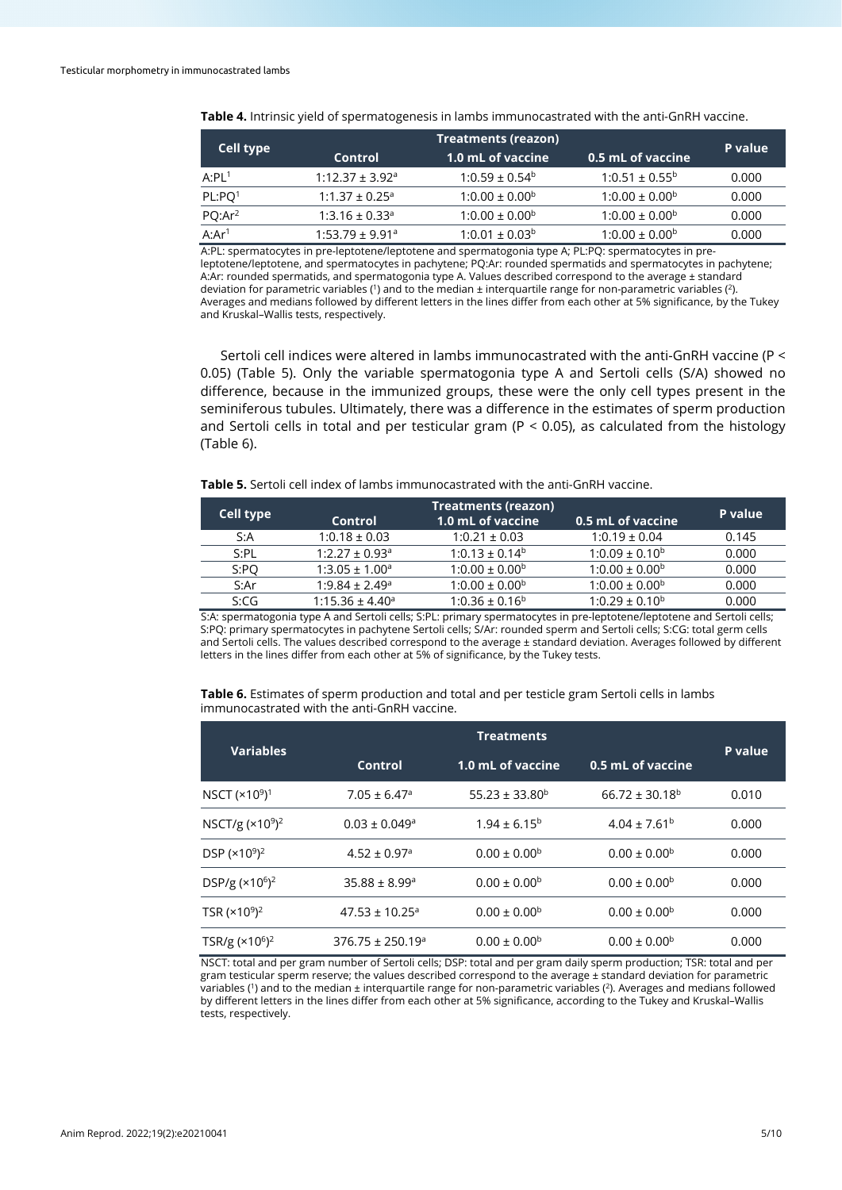| Cell type           |                                 | <b>P</b> value                 |                           |       |
|---------------------|---------------------------------|--------------------------------|---------------------------|-------|
|                     | Control                         | 1.0 mL of vaccine              | 0.5 mL of vaccine         |       |
| A:PL <sup>1</sup>   | $1:12.37 \pm 3.92$ <sup>a</sup> | $1:0.59 \pm 0.54^b$            | $1:0.51 \pm 0.55^{\circ}$ | 0.000 |
| PL: PQ <sup>1</sup> | $1:1.37 \pm 0.25$ <sup>a</sup>  | $1:0.00 \pm 0.00$ <sup>b</sup> | $1:0.00 \pm 0.00^{\circ}$ | 0.000 |
| PQ:Ar <sup>2</sup>  | $1:3.16 \pm 0.33$ <sup>a</sup>  | $1:0.00 \pm 0.00^{\circ}$      | $1:0.00 \pm 0.00^{\circ}$ | 0.000 |
| A:Ar <sup>1</sup>   | $1:53.79 \pm 9.91$ <sup>a</sup> | $1:0.01 \pm 0.03^b$            | $1:0.00 \pm 0.00^{\circ}$ | 0.000 |

**Table 4.** Intrinsic yield of spermatogenesis in lambs immunocastrated with the anti-GnRH vaccine.

A:PL: spermatocytes in pre-leptotene/leptotene and spermatogonia type A; PL:PQ: spermatocytes in preleptotene/leptotene, and spermatocytes in pachytene; PQ:Ar: rounded spermatids and spermatocytes in pachytene; A:Ar: rounded spermatids, and spermatogonia type A. Values described correspond to the average ± standard deviation for parametric variables (1) and to the median  $\pm$  interquartile range for non-parametric variables (2). Averages and medians followed by different letters in the lines differ from each other at 5% significance, by the Tukey and Kruskal–Wallis tests, respectively.

Sertoli cell indices were altered in lambs immunocastrated with the anti-GnRH vaccine (P < 0.05) (Table 5). Only the variable spermatogonia type A and Sertoli cells (S/A) showed no difference, because in the immunized groups, these were the only cell types present in the seminiferous tubules. Ultimately, there was a difference in the estimates of sperm production and Sertoli cells in total and per testicular gram ( $P < 0.05$ ), as calculated from the histology (Table 6).

**Table 5.** Sertoli cell index of lambs immunocastrated with the anti-GnRH vaccine.

| Cell type |                                | P value             |                           |       |
|-----------|--------------------------------|---------------------|---------------------------|-------|
|           | <b>Control</b>                 | 1.0 mL of vaccine   | 0.5 mL of vaccine         |       |
| S:A       | $1:0.18 \pm 0.03$              | $1:0.21 \pm 0.03$   | $1:0.19 \pm 0.04$         | 0.145 |
| S:PL      | $1:2.27 \pm 0.93$ <sup>a</sup> | $1:0.13 \pm 0.14^b$ | $1:0.09 \pm 0.10^b$       | 0.000 |
| S:PO      | $1:3.05 \pm 1.00^a$            | $1:0.00 \pm 0.00^b$ | $1:0.00 \pm 0.00^b$       | 0.000 |
| S:Ar      | $1:9.84 \pm 2.49$ <sup>a</sup> | $1:0.00 \pm 0.00^b$ | $1:0.00 \pm 0.00^{\circ}$ | 0.000 |
| S:CG      | $1:15.36 \pm 4.40^a$           | $1:0.36 \pm 0.16^b$ | $1:0.29 \pm 0.10^b$       | 0.000 |
|           |                                |                     |                           |       |

S:A: spermatogonia type A and Sertoli cells; S:PL: primary spermatocytes in pre-leptotene/leptotene and Sertoli cells; S:PQ: primary spermatocytes in pachytene Sertoli cells; S/Ar: rounded sperm and Sertoli cells; S:CG: total germ cells and Sertoli cells. The values described correspond to the average ± standard deviation. Averages followed by different letters in the lines differ from each other at 5% of significance, by the Tukey tests.

**Table 6.** Estimates of sperm production and total and per testicle gram Sertoli cells in lambs immunocastrated with the anti-GnRH vaccine.

|                                       | <b>Treatments</b>              |                         |                         |         |  |
|---------------------------------------|--------------------------------|-------------------------|-------------------------|---------|--|
| <b>Variables</b>                      | Control                        | 1.0 mL of vaccine       | 0.5 mL of vaccine       | P value |  |
| NSCT (×10 <sup>9</sup> ) <sup>1</sup> | $7.05 \pm 6.47$ <sup>a</sup>   | $55.23 \pm 33.80^b$     | $66.72 \pm 30.18^b$     | 0.010   |  |
| NSCT/g $(x10^9)^2$                    | $0.03 \pm 0.049$ <sup>a</sup>  | $1.94 \pm 6.15^{\circ}$ | $4.04 \pm 7.61^{\rm b}$ | 0.000   |  |
| DSP $(x10^9)^2$                       | $4.52 \pm 0.97$ <sup>a</sup>   | $0.00 \pm 0.00^{\rm b}$ | $0.00 \pm 0.00^{\rm b}$ | 0.000   |  |
| DSP/g $(x10^6)^2$                     | $35.88 \pm 8.99^{\circ}$       | $0.00 \pm 0.00^{\rm b}$ | $0.00 \pm 0.00^{\rm b}$ | 0.000   |  |
| TSR $(x10^9)^2$                       | $47.53 \pm 10.25$ <sup>a</sup> | $0.00 \pm 0.00^{\rm b}$ | $0.00 \pm 0.00^{\circ}$ | 0.000   |  |
| TSR/g $(x10^6)^2$                     | $376.75 \pm 250.19^a$          | $0.00 \pm 0.00^{\rm b}$ | $0.00 \pm 0.00^{\rm b}$ | 0.000   |  |

NSCT: total and per gram number of Sertoli cells; DSP: total and per gram daily sperm production; TSR: total and per gram testicular sperm reserve; the values described correspond to the average ± standard deviation for parametric variables (1) and to the median ± interquartile range for non-parametric variables (2). Averages and medians followed by different letters in the lines differ from each other at 5% significance, according to the Tukey and Kruskal–Wallis tests, respectively.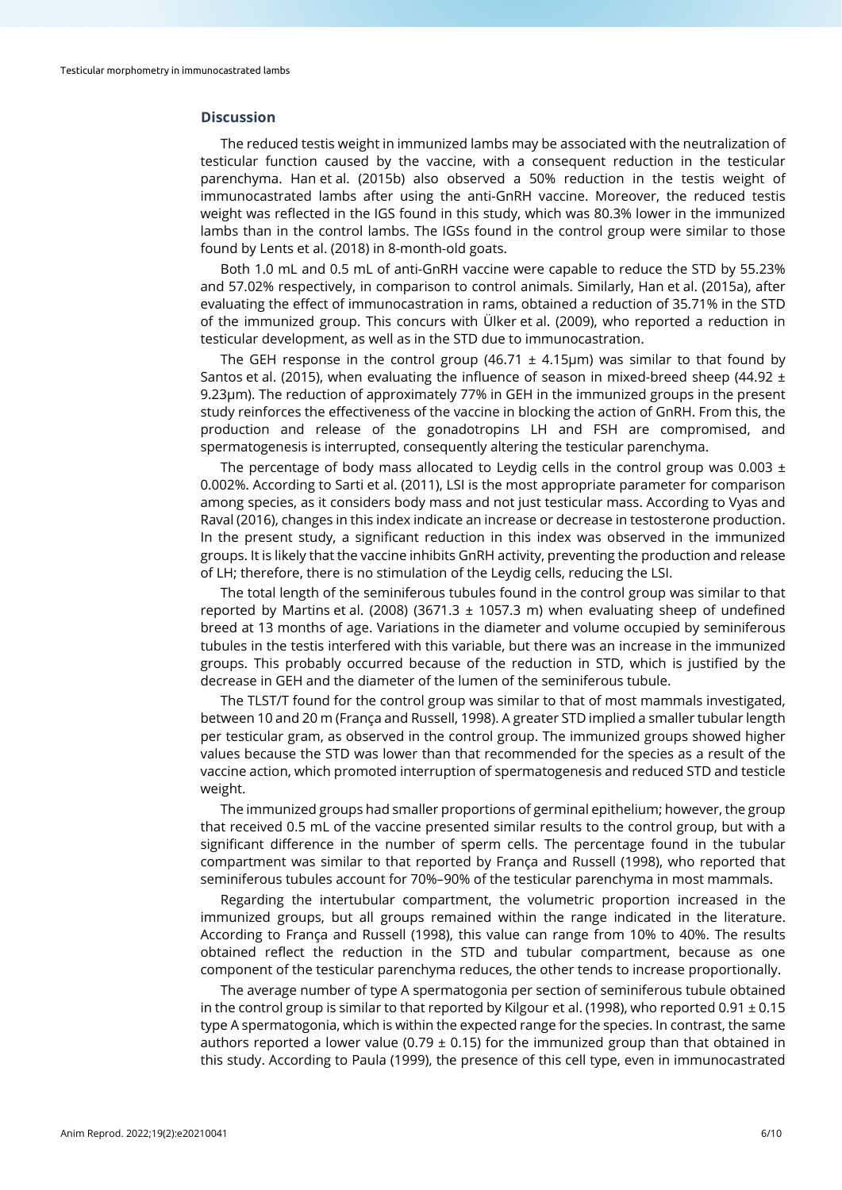## **Discussion**

The reduced testis weight in immunized lambs may be associated with the neutralization of testicular function caused by the vaccine, with a consequent reduction in the testicular parenchyma. Han et al. (2015b) also observed a 50% reduction in the testis weight of immunocastrated lambs after using the anti-GnRH vaccine. Moreover, the reduced testis weight was reflected in the IGS found in this study, which was 80.3% lower in the immunized lambs than in the control lambs. The IGSs found in the control group were similar to those found by Lents et al. (2018) in 8-month-old goats.

Both 1.0 mL and 0.5 mL of anti-GnRH vaccine were capable to reduce the STD by 55.23% and 57.02% respectively, in comparison to control animals. Similarly, Han et al. (2015a), after evaluating the effect of immunocastration in rams, obtained a reduction of 35.71% in the STD of the immunized group. This concurs with Ülker et al. (2009), who reported a reduction in testicular development, as well as in the STD due to immunocastration.

The GEH response in the control group (46.71  $\pm$  4.15µm) was similar to that found by Santos et al. (2015), when evaluating the influence of season in mixed-breed sheep (44.92 ± 9.23μm). The reduction of approximately 77% in GEH in the immunized groups in the present study reinforces the effectiveness of the vaccine in blocking the action of GnRH. From this, the production and release of the gonadotropins LH and FSH are compromised, and spermatogenesis is interrupted, consequently altering the testicular parenchyma.

The percentage of body mass allocated to Leydig cells in the control group was 0.003  $\pm$ 0.002%. According to Sarti et al. (2011), LSI is the most appropriate parameter for comparison among species, as it considers body mass and not just testicular mass. According to Vyas and Raval (2016), changes in this index indicate an increase or decrease in testosterone production. In the present study, a significant reduction in this index was observed in the immunized groups. It is likely that the vaccine inhibits GnRH activity, preventing the production and release of LH; therefore, there is no stimulation of the Leydig cells, reducing the LSI.

The total length of the seminiferous tubules found in the control group was similar to that reported by Martins et al. (2008) (3671.3  $\pm$  1057.3 m) when evaluating sheep of undefined breed at 13 months of age. Variations in the diameter and volume occupied by seminiferous tubules in the testis interfered with this variable, but there was an increase in the immunized groups. This probably occurred because of the reduction in STD, which is justified by the decrease in GEH and the diameter of the lumen of the seminiferous tubule.

The TLST/T found for the control group was similar to that of most mammals investigated, between 10 and 20 m (França and Russell, 1998). A greater STD implied a smaller tubular length per testicular gram, as observed in the control group. The immunized groups showed higher values because the STD was lower than that recommended for the species as a result of the vaccine action, which promoted interruption of spermatogenesis and reduced STD and testicle weight.

The immunized groups had smaller proportions of germinal epithelium; however, the group that received 0.5 mL of the vaccine presented similar results to the control group, but with a significant difference in the number of sperm cells. The percentage found in the tubular compartment was similar to that reported by França and Russell (1998), who reported that seminiferous tubules account for 70%–90% of the testicular parenchyma in most mammals.

Regarding the intertubular compartment, the volumetric proportion increased in the immunized groups, but all groups remained within the range indicated in the literature. According to França and Russell (1998), this value can range from 10% to 40%. The results obtained reflect the reduction in the STD and tubular compartment, because as one component of the testicular parenchyma reduces, the other tends to increase proportionally.

The average number of type A spermatogonia per section of seminiferous tubule obtained in the control group is similar to that reported by Kilgour et al. (1998), who reported 0.91  $\pm$  0.15 type A spermatogonia, which is within the expected range for the species. In contrast, the same authors reported a lower value (0.79  $\pm$  0.15) for the immunized group than that obtained in this study. According to Paula (1999), the presence of this cell type, even in immunocastrated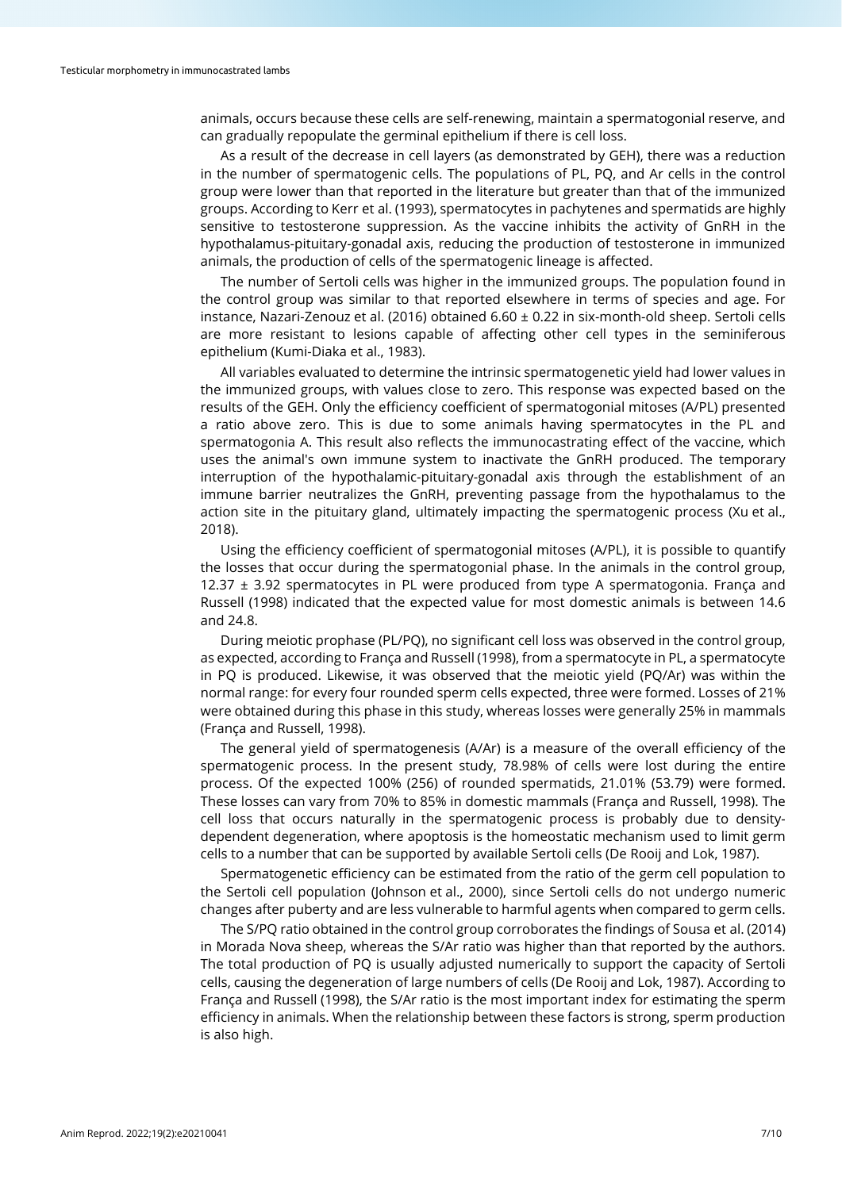animals, occurs because these cells are self-renewing, maintain a spermatogonial reserve, and can gradually repopulate the germinal epithelium if there is cell loss.

As a result of the decrease in cell layers (as demonstrated by GEH), there was a reduction in the number of spermatogenic cells. The populations of PL, PQ, and Ar cells in the control group were lower than that reported in the literature but greater than that of the immunized groups. According to Kerr et al. (1993), spermatocytes in pachytenes and spermatids are highly sensitive to testosterone suppression. As the vaccine inhibits the activity of GnRH in the hypothalamus-pituitary-gonadal axis, reducing the production of testosterone in immunized animals, the production of cells of the spermatogenic lineage is affected.

The number of Sertoli cells was higher in the immunized groups. The population found in the control group was similar to that reported elsewhere in terms of species and age. For instance, Nazari-Zenouz et al. (2016) obtained 6.60 ± 0.22 in six-month-old sheep. Sertoli cells are more resistant to lesions capable of affecting other cell types in the seminiferous epithelium (Kumi-Diaka et al., 1983).

All variables evaluated to determine the intrinsic spermatogenetic yield had lower values in the immunized groups, with values close to zero. This response was expected based on the results of the GEH. Only the efficiency coefficient of spermatogonial mitoses (A/PL) presented a ratio above zero. This is due to some animals having spermatocytes in the PL and spermatogonia A. This result also reflects the immunocastrating effect of the vaccine, which uses the animal's own immune system to inactivate the GnRH produced. The temporary interruption of the hypothalamic-pituitary-gonadal axis through the establishment of an immune barrier neutralizes the GnRH, preventing passage from the hypothalamus to the action site in the pituitary gland, ultimately impacting the spermatogenic process (Xu et al., 2018).

Using the efficiency coefficient of spermatogonial mitoses (A/PL), it is possible to quantify the losses that occur during the spermatogonial phase. In the animals in the control group, 12.37 ± 3.92 spermatocytes in PL were produced from type A spermatogonia. França and Russell (1998) indicated that the expected value for most domestic animals is between 14.6 and 24.8.

During meiotic prophase (PL/PQ), no significant cell loss was observed in the control group, as expected, according to França and Russell (1998), from a spermatocyte in PL, a spermatocyte in PQ is produced. Likewise, it was observed that the meiotic yield (PQ/Ar) was within the normal range: for every four rounded sperm cells expected, three were formed. Losses of 21% were obtained during this phase in this study, whereas losses were generally 25% in mammals (França and Russell, 1998).

The general yield of spermatogenesis (A/Ar) is a measure of the overall efficiency of the spermatogenic process. In the present study, 78.98% of cells were lost during the entire process. Of the expected 100% (256) of rounded spermatids, 21.01% (53.79) were formed. These losses can vary from 70% to 85% in domestic mammals (França and Russell, 1998). The cell loss that occurs naturally in the spermatogenic process is probably due to densitydependent degeneration, where apoptosis is the homeostatic mechanism used to limit germ cells to a number that can be supported by available Sertoli cells (De Rooij and Lok, 1987).

Spermatogenetic efficiency can be estimated from the ratio of the germ cell population to the Sertoli cell population (Johnson et al., 2000), since Sertoli cells do not undergo numeric changes after puberty and are less vulnerable to harmful agents when compared to germ cells.

The S/PQ ratio obtained in the control group corroborates the findings of Sousa et al. (2014) in Morada Nova sheep, whereas the S/Ar ratio was higher than that reported by the authors. The total production of PQ is usually adjusted numerically to support the capacity of Sertoli cells, causing the degeneration of large numbers of cells (De Rooij and Lok, 1987). According to França and Russell (1998), the S/Ar ratio is the most important index for estimating the sperm efficiency in animals. When the relationship between these factors is strong, sperm production is also high.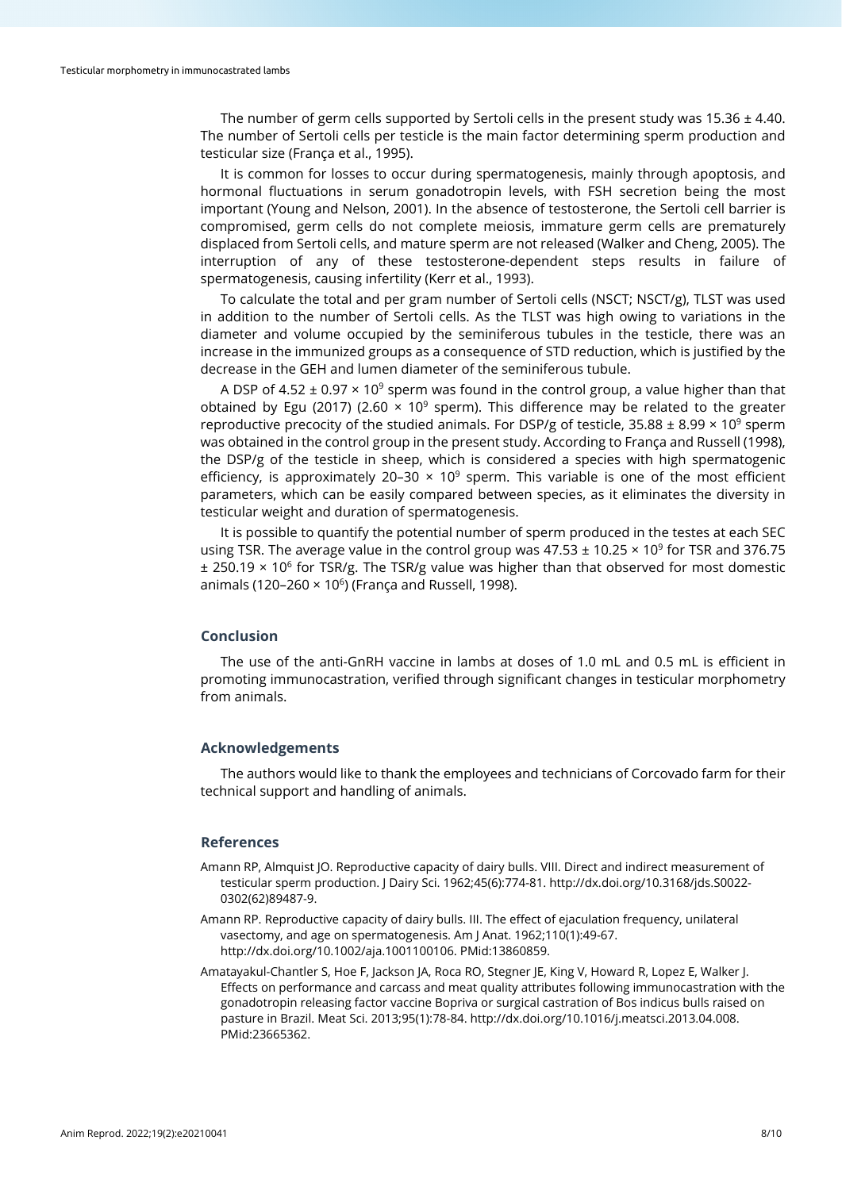The number of germ cells supported by Sertoli cells in the present study was  $15.36 \pm 4.40$ . The number of Sertoli cells per testicle is the main factor determining sperm production and testicular size (França et al., 1995).

It is common for losses to occur during spermatogenesis, mainly through apoptosis, and hormonal fluctuations in serum gonadotropin levels, with FSH secretion being the most important (Young and Nelson, 2001). In the absence of testosterone, the Sertoli cell barrier is compromised, germ cells do not complete meiosis, immature germ cells are prematurely displaced from Sertoli cells, and mature sperm are not released (Walker and Cheng, 2005). The interruption of any of these testosterone-dependent steps results in failure of spermatogenesis, causing infertility (Kerr et al., 1993).

To calculate the total and per gram number of Sertoli cells (NSCT; NSCT/g), TLST was used in addition to the number of Sertoli cells. As the TLST was high owing to variations in the diameter and volume occupied by the seminiferous tubules in the testicle, there was an increase in the immunized groups as a consequence of STD reduction, which is justified by the decrease in the GEH and lumen diameter of the seminiferous tubule.

A DSP of 4.52  $\pm$  0.97  $\times$  10<sup>9</sup> sperm was found in the control group, a value higher than that obtained by Egu (2017) (2.60  $\times$  10<sup>9</sup> sperm). This difference may be related to the greater reproductive precocity of the studied animals. For DSP/g of testicle,  $35.88 \pm 8.99 \times 10^9$  sperm was obtained in the control group in the present study. According to França and Russell (1998), the DSP/g of the testicle in sheep, which is considered a species with high spermatogenic efficiency, is approximately 20-30  $\times$  10<sup>9</sup> sperm. This variable is one of the most efficient parameters, which can be easily compared between species, as it eliminates the diversity in testicular weight and duration of spermatogenesis.

It is possible to quantify the potential number of sperm produced in the testes at each SEC using TSR. The average value in the control group was  $47.53 \pm 10.25 \times 10^9$  for TSR and 376.75  $\pm$  250.19 × 10<sup>6</sup> for TSR/g. The TSR/g value was higher than that observed for most domestic animals (120–260  $\times$  10<sup>6</sup>) (França and Russell, 1998).

## **Conclusion**

The use of the anti-GnRH vaccine in lambs at doses of 1.0 mL and 0.5 mL is efficient in promoting immunocastration, verified through significant changes in testicular morphometry from animals.

## **Acknowledgements**

The authors would like to thank the employees and technicians of Corcovado farm for their technical support and handling of animals.

## **References**

- Amann RP, Almquist JO. Reproductive capacity of dairy bulls. VIII. Direct and indirect measurement of testicular sperm production. J Dairy Sci. 1962;45(6):774-81[. http://dx.doi.org/10.3168/jds.S0022-](https://doi.org/10.3168/jds.S0022-0302(62)89487-9) [0302\(62\)89487-9.](https://doi.org/10.3168/jds.S0022-0302(62)89487-9)
- Amann RP. Reproductive capacity of dairy bulls. III. The effect of ejaculation frequency, unilateral vasectomy, and age on spermatogenesis. Am J Anat. 1962;110(1):49-67. [http://dx.doi.org/10.1002/aja.1001100106.](https://doi.org/10.1002/aja.1001100106) [PMid:13860859.](https://www.ncbi.nlm.nih.gov/entrez/query.fcgi?cmd=Retrieve&db=PubMed&list_uids=13860859&dopt=Abstract)
- Amatayakul-Chantler S, Hoe F, Jackson JA, Roca RO, Stegner JE, King V, Howard R, Lopez E, Walker J. Effects on performance and carcass and meat quality attributes following immunocastration with the gonadotropin releasing factor vaccine Bopriva or surgical castration of Bos indicus bulls raised on pasture in Brazil. Meat Sci. 2013;95(1):78-84[. http://dx.doi.org/10.1016/j.meatsci.2013.04.008.](https://doi.org/10.1016/j.meatsci.2013.04.008) [PMid:23665362.](https://www.ncbi.nlm.nih.gov/entrez/query.fcgi?cmd=Retrieve&db=PubMed&list_uids=23665362&dopt=Abstract)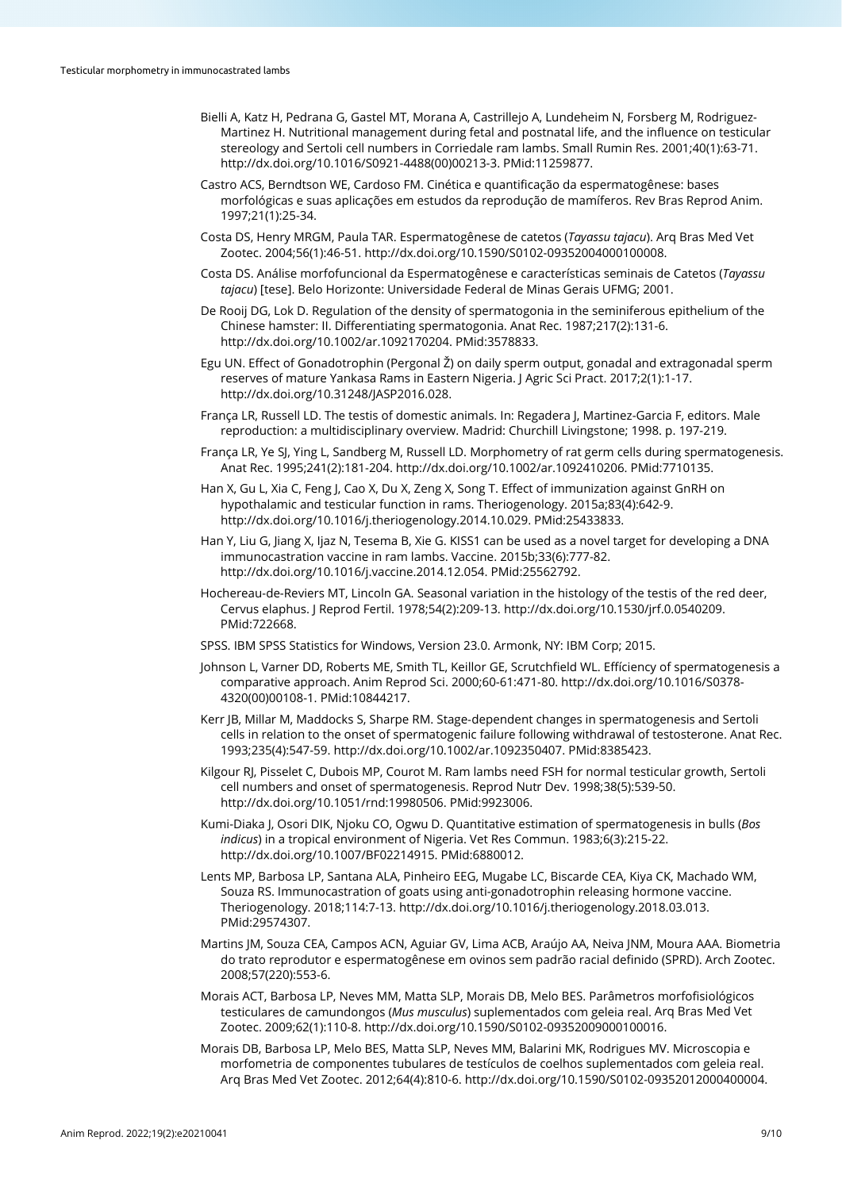- Bielli A, Katz H, Pedrana G, Gastel MT, Morana A, Castrillejo A, Lundeheim N, Forsberg M, Rodriguez-Martinez H. Nutritional management during fetal and postnatal life, and the influence on testicular stereology and Sertoli cell numbers in Corriedale ram lambs. Small Rumin Res. 2001;40(1):63-71. [http://dx.doi.org/10.1016/S0921-4488\(00\)00213-3.](https://doi.org/10.1016/S0921-4488(00)00213-3) [PMid:11259877.](https://www.ncbi.nlm.nih.gov/entrez/query.fcgi?cmd=Retrieve&db=PubMed&list_uids=11259877&dopt=Abstract)
- Castro ACS, Berndtson WE, Cardoso FM. Cinética e quantificação da espermatogênese: bases morfológicas e suas aplicações em estudos da reprodução de mamíferos. Rev Bras Reprod Anim. 1997;21(1):25-34.
- Costa DS, Henry MRGM, Paula TAR. Espermatogênese de catetos (*Tayassu tajacu*). Arq Bras Med Vet Zootec. 2004;56(1):46-51[. http://dx.doi.org/10.1590/S0102-09352004000100008.](https://doi.org/10.1590/S0102-09352004000100008)
- Costa DS. Análise morfofuncional da Espermatogênese e características seminais de Catetos (*Tayassu tajacu*) [tese]. Belo Horizonte: Universidade Federal de Minas Gerais UFMG; 2001.
- De Rooij DG, Lok D. Regulation of the density of spermatogonia in the seminiferous epithelium of the Chinese hamster: II. Differentiating spermatogonia. Anat Rec. 1987;217(2):131-6. [http://dx.doi.org/10.1002/ar.1092170204.](https://doi.org/10.1002/ar.1092170204) [PMid:3578833.](https://www.ncbi.nlm.nih.gov/entrez/query.fcgi?cmd=Retrieve&db=PubMed&list_uids=3578833&dopt=Abstract)
- Egu UN. Effect of Gonadotrophin (Pergonal Ž) on daily sperm output, gonadal and extragonadal sperm reserves of mature Yankasa Rams in Eastern Nigeria. J Agric Sci Pract. 2017;2(1):1-17. [http://dx.doi.org/10.31248/JASP2016.028.](https://doi.org/10.31248/JASP2016.028)
- França LR, Russell LD. The testis of domestic animals. In: Regadera J, Martinez-Garcia F, editors. Male reproduction: a multidisciplinary overview. Madrid: Churchill Livingstone; 1998. p. 197-219.
- França LR, Ye SJ, Ying L, Sandberg M, Russell LD. Morphometry of rat germ cells during spermatogenesis. Anat Rec. 1995;241(2):181-204. [http://dx.doi.org/10.1002/ar.1092410206.](https://doi.org/10.1002/ar.1092410206) [PMid:7710135.](https://www.ncbi.nlm.nih.gov/entrez/query.fcgi?cmd=Retrieve&db=PubMed&list_uids=7710135&dopt=Abstract)
- Han X, Gu L, Xia C, Feng J, Cao X, Du X, Zeng X, Song T. Effect of immunization against GnRH on hypothalamic and testicular function in rams. Theriogenology. 2015a;83(4):642-9. [http://dx.doi.org/10.1016/j.theriogenology.2014.10.029.](https://doi.org/10.1016/j.theriogenology.2014.10.029) [PMid:25433833.](https://www.ncbi.nlm.nih.gov/entrez/query.fcgi?cmd=Retrieve&db=PubMed&list_uids=25433833&dopt=Abstract)
- Han Y, Liu G, Jiang X, Ijaz N, Tesema B, Xie G. KISS1 can be used as a novel target for developing a DNA immunocastration vaccine in ram lambs. Vaccine. 2015b;33(6):777-82. [http://dx.doi.org/10.1016/j.vaccine.2014.12.054.](https://doi.org/10.1016/j.vaccine.2014.12.054) [PMid:25562792.](https://www.ncbi.nlm.nih.gov/entrez/query.fcgi?cmd=Retrieve&db=PubMed&list_uids=25562792&dopt=Abstract)
- Hochereau-de-Reviers MT, Lincoln GA. Seasonal variation in the histology of the testis of the red deer, Cervus elaphus. J Reprod Fertil. 1978;54(2):209-13[. http://dx.doi.org/10.1530/jrf.0.0540209.](https://doi.org/10.1530/jrf.0.0540209) [PMid:722668.](https://www.ncbi.nlm.nih.gov/entrez/query.fcgi?cmd=Retrieve&db=PubMed&list_uids=722668&dopt=Abstract)
- SPSS. IBM SPSS Statistics for Windows, Version 23.0. Armonk, NY: IBM Corp; 2015.
- Johnson L, Varner DD, Roberts ME, Smith TL, Keillor GE, Scrutchfield WL. Effíciency of spermatogenesis a comparative approach. Anim Reprod Sci. 2000;60-61:471-80. [http://dx.doi.org/10.1016/S0378-](https://doi.org/10.1016/S0378-4320(00)00108-1) [4320\(00\)00108-1.](https://doi.org/10.1016/S0378-4320(00)00108-1) [PMid:10844217.](https://www.ncbi.nlm.nih.gov/entrez/query.fcgi?cmd=Retrieve&db=PubMed&list_uids=10844217&dopt=Abstract)
- Kerr JB, Millar M, Maddocks S, Sharpe RM. Stage‐dependent changes in spermatogenesis and Sertoli cells in relation to the onset of spermatogenic failure following withdrawal of testosterone. Anat Rec. 1993;235(4):547-59. [http://dx.doi.org/10.1002/ar.1092350407.](https://doi.org/10.1002/ar.1092350407) [PMid:8385423.](https://www.ncbi.nlm.nih.gov/entrez/query.fcgi?cmd=Retrieve&db=PubMed&list_uids=8385423&dopt=Abstract)
- Kilgour RJ, Pisselet C, Dubois MP, Courot M. Ram lambs need FSH for normal testicular growth, Sertoli cell numbers and onset of spermatogenesis. Reprod Nutr Dev. 1998;38(5):539-50. [http://dx.doi.org/10.1051/rnd:19980506.](https://doi.org/10.1051/rnd:19980506) [PMid:9923006.](https://www.ncbi.nlm.nih.gov/entrez/query.fcgi?cmd=Retrieve&db=PubMed&list_uids=9923006&dopt=Abstract)
- Kumi-Diaka J, Osori DIK, Njoku CO, Ogwu D. Quantitative estimation of spermatogenesis in bulls (*Bos indicus*) in a tropical environment of Nigeria. Vet Res Commun. 1983;6(3):215-22. [http://dx.doi.org/10.1007/BF02214915.](https://doi.org/10.1007/BF02214915) [PMid:6880012.](https://www.ncbi.nlm.nih.gov/entrez/query.fcgi?cmd=Retrieve&db=PubMed&list_uids=6880012&dopt=Abstract)
- Lents MP, Barbosa LP, Santana ALA, Pinheiro EEG, Mugabe LC, Biscarde CEA, Kiya CK, Machado WM, Souza RS. Immunocastration of goats using anti-gonadotrophin releasing hormone vaccine. Theriogenology. 2018;114:7-13[. http://dx.doi.org/10.1016/j.theriogenology.2018.03.013.](https://doi.org/10.1016/j.theriogenology.2018.03.013) [PMid:29574307.](https://www.ncbi.nlm.nih.gov/entrez/query.fcgi?cmd=Retrieve&db=PubMed&list_uids=29574307&dopt=Abstract)
- Martins JM, Souza CEA, Campos ACN, Aguiar GV, Lima ACB, Araújo AA, Neiva JNM, Moura AAA. Biometria do trato reprodutor e espermatogênese em ovinos sem padrão racial definido (SPRD). Arch Zootec. 2008;57(220):553-6.
- Morais ACT, Barbosa LP, Neves MM, Matta SLP, Morais DB, Melo BES. Parâmetros morfofisiológicos testiculares de camundongos (*Mus musculus*) suplementados com geleia real. Arq Bras Med Vet Zootec. 2009;62(1):110-8[. http://dx.doi.org/10.1590/S0102-09352009000100016.](https://doi.org/10.1590/S0102-09352009000100016)
- Morais DB, Barbosa LP, Melo BES, Matta SLP, Neves MM, Balarini MK, Rodrigues MV. Microscopia e morfometria de componentes tubulares de testículos de coelhos suplementados com geleia real. Arq Bras Med Vet Zootec. 2012;64(4):810-6[. http://dx.doi.org/10.1590/S0102-09352012000400004.](https://doi.org/10.1590/S0102-09352012000400004)